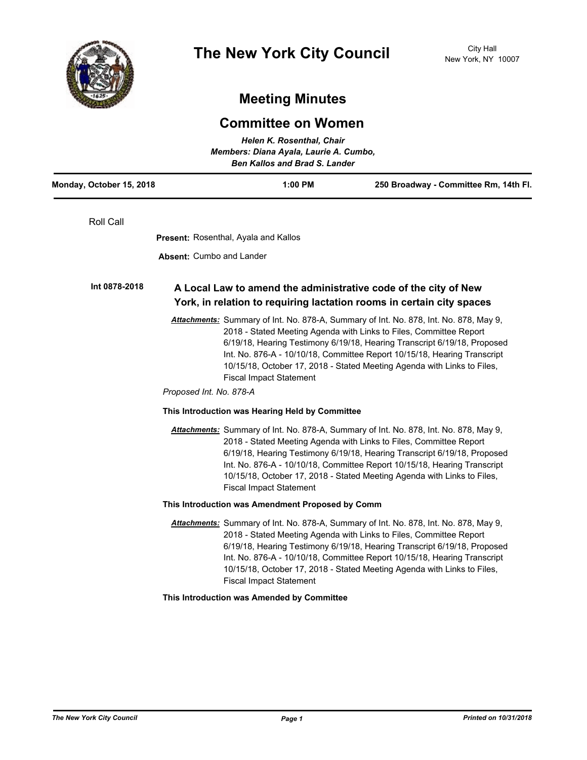

# **Meeting Minutes**

## **Committee on Women**

| Helen K. Rosenthal, Chair<br>Members: Diana Ayala, Laurie A. Cumbo,<br><b>Ben Kallos and Brad S. Lander</b> |                                                                                                                                          |                                                                                                                                                                                                                                                                                                                                                                                                |
|-------------------------------------------------------------------------------------------------------------|------------------------------------------------------------------------------------------------------------------------------------------|------------------------------------------------------------------------------------------------------------------------------------------------------------------------------------------------------------------------------------------------------------------------------------------------------------------------------------------------------------------------------------------------|
| Monday, October 15, 2018                                                                                    | $1:00$ PM                                                                                                                                | 250 Broadway - Committee Rm, 14th Fl.                                                                                                                                                                                                                                                                                                                                                          |
| Roll Call                                                                                                   |                                                                                                                                          |                                                                                                                                                                                                                                                                                                                                                                                                |
|                                                                                                             | <b>Present: Rosenthal, Ayala and Kallos</b>                                                                                              |                                                                                                                                                                                                                                                                                                                                                                                                |
|                                                                                                             | <b>Absent: Cumbo and Lander</b>                                                                                                          |                                                                                                                                                                                                                                                                                                                                                                                                |
| Int 0878-2018                                                                                               | A Local Law to amend the administrative code of the city of New<br>York, in relation to requiring lactation rooms in certain city spaces |                                                                                                                                                                                                                                                                                                                                                                                                |
|                                                                                                             | <b>Fiscal Impact Statement</b><br>Proposed Int. No. 878-A                                                                                | Attachments: Summary of Int. No. 878-A, Summary of Int. No. 878, Int. No. 878, May 9,<br>2018 - Stated Meeting Agenda with Links to Files, Committee Report<br>6/19/18, Hearing Testimony 6/19/18, Hearing Transcript 6/19/18, Proposed<br>Int. No. 876-A - 10/10/18, Committee Report 10/15/18, Hearing Transcript<br>10/15/18, October 17, 2018 - Stated Meeting Agenda with Links to Files, |
|                                                                                                             | This Introduction was Hearing Held by Committee                                                                                          |                                                                                                                                                                                                                                                                                                                                                                                                |
|                                                                                                             | <b>Fiscal Impact Statement</b>                                                                                                           | Attachments: Summary of Int. No. 878-A, Summary of Int. No. 878, Int. No. 878, May 9,<br>2018 - Stated Meeting Agenda with Links to Files, Committee Report<br>6/19/18, Hearing Testimony 6/19/18, Hearing Transcript 6/19/18, Proposed<br>Int. No. 876-A - 10/10/18, Committee Report 10/15/18, Hearing Transcript<br>10/15/18, October 17, 2018 - Stated Meeting Agenda with Links to Files, |
|                                                                                                             | This Introduction was Amendment Proposed by Comm                                                                                         |                                                                                                                                                                                                                                                                                                                                                                                                |
|                                                                                                             | <b>Fiscal Impact Statement</b>                                                                                                           | Attachments: Summary of Int. No. 878-A, Summary of Int. No. 878, Int. No. 878, May 9,<br>2018 - Stated Meeting Agenda with Links to Files, Committee Report<br>6/19/18, Hearing Testimony 6/19/18, Hearing Transcript 6/19/18, Proposed<br>Int. No. 876-A - 10/10/18, Committee Report 10/15/18, Hearing Transcript<br>10/15/18, October 17, 2018 - Stated Meeting Agenda with Links to Files, |
|                                                                                                             | This Introduction was Amended by Committee                                                                                               |                                                                                                                                                                                                                                                                                                                                                                                                |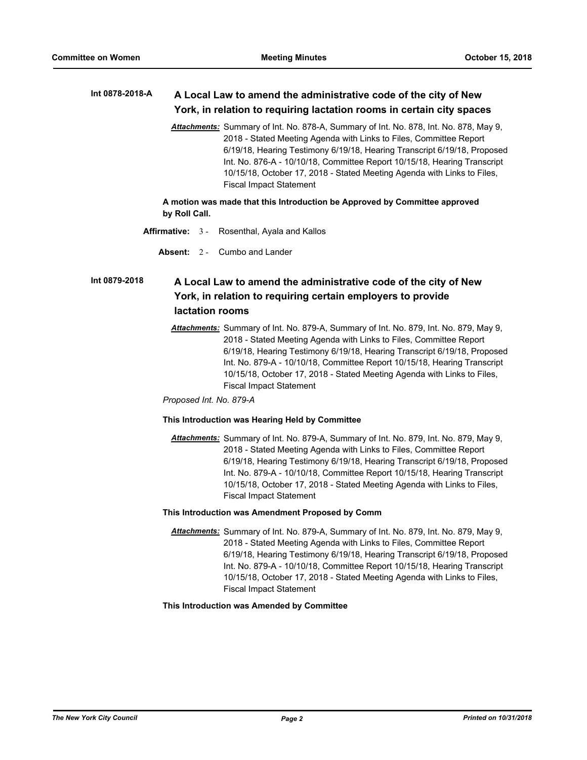#### **A Local Law to amend the administrative code of the city of New York, in relation to requiring lactation rooms in certain city spaces Int 0878-2018-A**

*Attachments:* Summary of Int. No. 878-A, Summary of Int. No. 878, Int. No. 878, May 9, 2018 - Stated Meeting Agenda with Links to Files, Committee Report 6/19/18, Hearing Testimony 6/19/18, Hearing Transcript 6/19/18, Proposed Int. No. 876-A - 10/10/18, Committee Report 10/15/18, Hearing Transcript 10/15/18, October 17, 2018 - Stated Meeting Agenda with Links to Files, Fiscal Impact Statement

**A motion was made that this Introduction be Approved by Committee approved by Roll Call.**

- **Affirmative:** 3 Rosenthal, Ayala and Kallos
	- **Absent:** 2 Cumbo and Lander

## **A Local Law to amend the administrative code of the city of New York, in relation to requiring certain employers to provide lactation rooms Int 0879-2018**

*Attachments:* Summary of Int. No. 879-A, Summary of Int. No. 879, Int. No. 879, May 9, 2018 - Stated Meeting Agenda with Links to Files, Committee Report 6/19/18, Hearing Testimony 6/19/18, Hearing Transcript 6/19/18, Proposed Int. No. 879-A - 10/10/18, Committee Report 10/15/18, Hearing Transcript 10/15/18, October 17, 2018 - Stated Meeting Agenda with Links to Files, Fiscal Impact Statement

*Proposed Int. No. 879-A*

#### **This Introduction was Hearing Held by Committee**

*Attachments:* Summary of Int. No. 879-A, Summary of Int. No. 879, Int. No. 879, May 9, 2018 - Stated Meeting Agenda with Links to Files, Committee Report 6/19/18, Hearing Testimony 6/19/18, Hearing Transcript 6/19/18, Proposed Int. No. 879-A - 10/10/18, Committee Report 10/15/18, Hearing Transcript 10/15/18, October 17, 2018 - Stated Meeting Agenda with Links to Files, Fiscal Impact Statement

#### **This Introduction was Amendment Proposed by Comm**

*Attachments:* Summary of Int. No. 879-A, Summary of Int. No. 879, Int. No. 879, May 9, 2018 - Stated Meeting Agenda with Links to Files, Committee Report 6/19/18, Hearing Testimony 6/19/18, Hearing Transcript 6/19/18, Proposed Int. No. 879-A - 10/10/18, Committee Report 10/15/18, Hearing Transcript 10/15/18, October 17, 2018 - Stated Meeting Agenda with Links to Files, Fiscal Impact Statement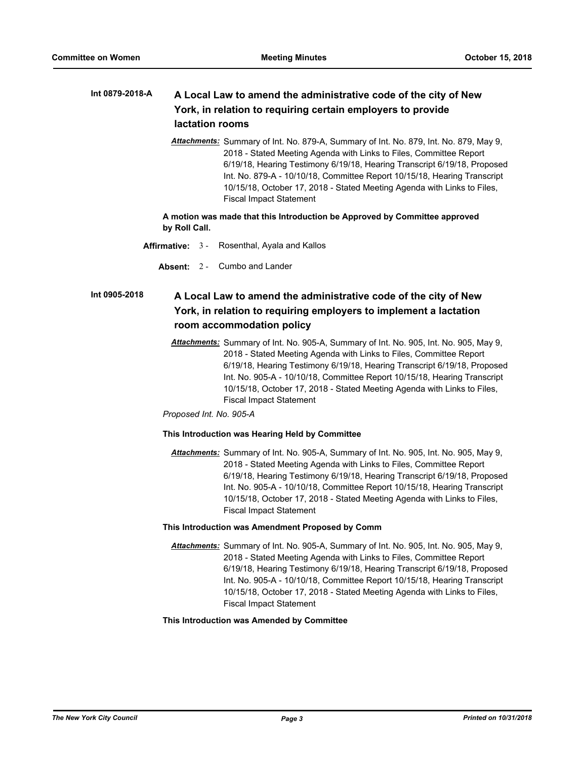### **A Local Law to amend the administrative code of the city of New York, in relation to requiring certain employers to provide lactation rooms Int 0879-2018-A**

*Attachments:* Summary of Int. No. 879-A, Summary of Int. No. 879, Int. No. 879, May 9, 2018 - Stated Meeting Agenda with Links to Files, Committee Report 6/19/18, Hearing Testimony 6/19/18, Hearing Transcript 6/19/18, Proposed Int. No. 879-A - 10/10/18, Committee Report 10/15/18, Hearing Transcript 10/15/18, October 17, 2018 - Stated Meeting Agenda with Links to Files, Fiscal Impact Statement

**A motion was made that this Introduction be Approved by Committee approved by Roll Call.**

- **Affirmative:** 3 Rosenthal, Ayala and Kallos
	- **Absent:** 2 Cumbo and Lander

## **A Local Law to amend the administrative code of the city of New York, in relation to requiring employers to implement a lactation room accommodation policy Int 0905-2018**

*Attachments:* Summary of Int. No. 905-A, Summary of Int. No. 905, Int. No. 905, May 9, 2018 - Stated Meeting Agenda with Links to Files, Committee Report 6/19/18, Hearing Testimony 6/19/18, Hearing Transcript 6/19/18, Proposed Int. No. 905-A - 10/10/18, Committee Report 10/15/18, Hearing Transcript 10/15/18, October 17, 2018 - Stated Meeting Agenda with Links to Files, Fiscal Impact Statement

*Proposed Int. No. 905-A*

#### **This Introduction was Hearing Held by Committee**

*Attachments:* Summary of Int. No. 905-A, Summary of Int. No. 905, Int. No. 905, May 9, 2018 - Stated Meeting Agenda with Links to Files, Committee Report 6/19/18, Hearing Testimony 6/19/18, Hearing Transcript 6/19/18, Proposed Int. No. 905-A - 10/10/18, Committee Report 10/15/18, Hearing Transcript 10/15/18, October 17, 2018 - Stated Meeting Agenda with Links to Files, Fiscal Impact Statement

## **This Introduction was Amendment Proposed by Comm**

*Attachments:* Summary of Int. No. 905-A, Summary of Int. No. 905, Int. No. 905, May 9, 2018 - Stated Meeting Agenda with Links to Files, Committee Report 6/19/18, Hearing Testimony 6/19/18, Hearing Transcript 6/19/18, Proposed Int. No. 905-A - 10/10/18, Committee Report 10/15/18, Hearing Transcript 10/15/18, October 17, 2018 - Stated Meeting Agenda with Links to Files, Fiscal Impact Statement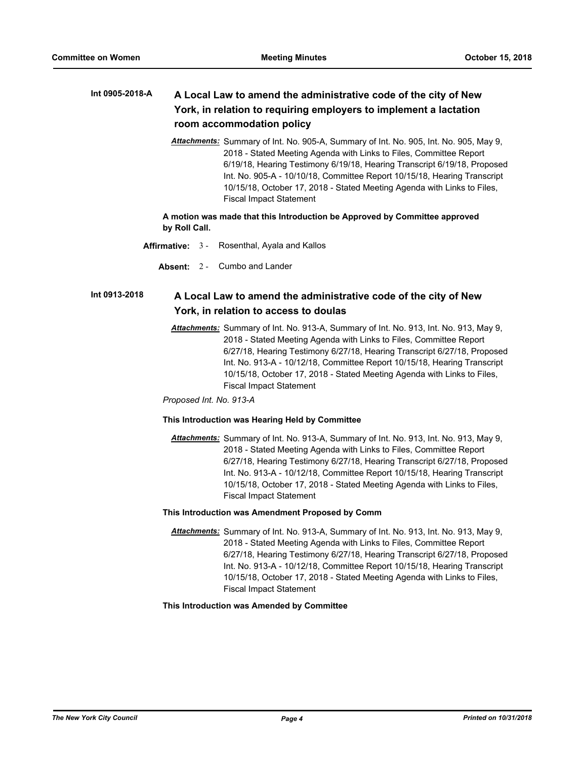## **A Local Law to amend the administrative code of the city of New York, in relation to requiring employers to implement a lactation room accommodation policy Int 0905-2018-A**

*Attachments:* Summary of Int. No. 905-A, Summary of Int. No. 905, Int. No. 905, May 9, 2018 - Stated Meeting Agenda with Links to Files, Committee Report 6/19/18, Hearing Testimony 6/19/18, Hearing Transcript 6/19/18, Proposed Int. No. 905-A - 10/10/18, Committee Report 10/15/18, Hearing Transcript 10/15/18, October 17, 2018 - Stated Meeting Agenda with Links to Files, Fiscal Impact Statement

## **A motion was made that this Introduction be Approved by Committee approved by Roll Call.**

- **Affirmative:** 3 Rosenthal, Ayala and Kallos
	- **Absent:** 2 Cumbo and Lander

#### **A Local Law to amend the administrative code of the city of New York, in relation to access to doulas Int 0913-2018**

*Attachments:* Summary of Int. No. 913-A, Summary of Int. No. 913, Int. No. 913, May 9, 2018 - Stated Meeting Agenda with Links to Files, Committee Report 6/27/18, Hearing Testimony 6/27/18, Hearing Transcript 6/27/18, Proposed Int. No. 913-A - 10/12/18, Committee Report 10/15/18, Hearing Transcript 10/15/18, October 17, 2018 - Stated Meeting Agenda with Links to Files, Fiscal Impact Statement

*Proposed Int. No. 913-A*

## **This Introduction was Hearing Held by Committee**

*Attachments:* Summary of Int. No. 913-A, Summary of Int. No. 913, Int. No. 913, May 9, 2018 - Stated Meeting Agenda with Links to Files, Committee Report 6/27/18, Hearing Testimony 6/27/18, Hearing Transcript 6/27/18, Proposed Int. No. 913-A - 10/12/18, Committee Report 10/15/18, Hearing Transcript 10/15/18, October 17, 2018 - Stated Meeting Agenda with Links to Files, Fiscal Impact Statement

## **This Introduction was Amendment Proposed by Comm**

*Attachments:* Summary of Int. No. 913-A, Summary of Int. No. 913, Int. No. 913, May 9, 2018 - Stated Meeting Agenda with Links to Files, Committee Report 6/27/18, Hearing Testimony 6/27/18, Hearing Transcript 6/27/18, Proposed Int. No. 913-A - 10/12/18, Committee Report 10/15/18, Hearing Transcript 10/15/18, October 17, 2018 - Stated Meeting Agenda with Links to Files, Fiscal Impact Statement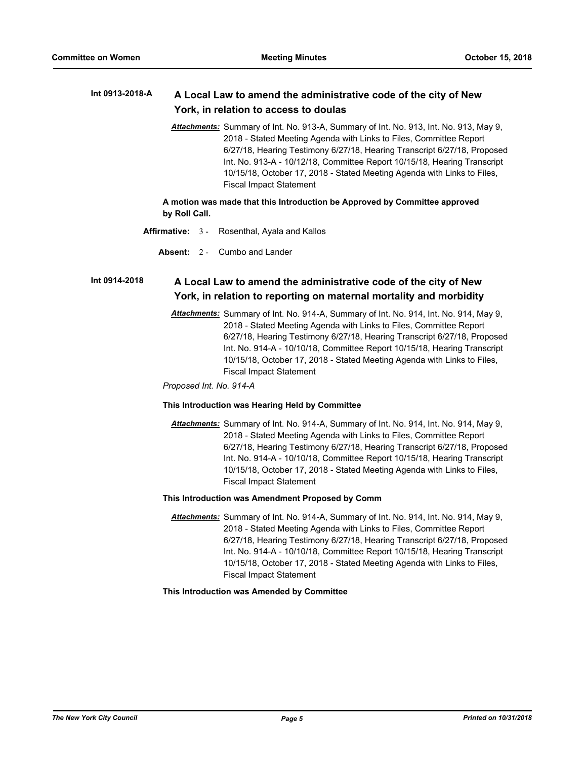#### **A Local Law to amend the administrative code of the city of New York, in relation to access to doulas Int 0913-2018-A**

*Attachments:* Summary of Int. No. 913-A, Summary of Int. No. 913, Int. No. 913, May 9, 2018 - Stated Meeting Agenda with Links to Files, Committee Report 6/27/18, Hearing Testimony 6/27/18, Hearing Transcript 6/27/18, Proposed Int. No. 913-A - 10/12/18, Committee Report 10/15/18, Hearing Transcript 10/15/18, October 17, 2018 - Stated Meeting Agenda with Links to Files, Fiscal Impact Statement

**A motion was made that this Introduction be Approved by Committee approved by Roll Call.**

- **Affirmative:** 3 Rosenthal, Ayala and Kallos
	- **Absent:** 2 Cumbo and Lander

#### **A Local Law to amend the administrative code of the city of New York, in relation to reporting on maternal mortality and morbidity Int 0914-2018**

*Attachments:* Summary of Int. No. 914-A, Summary of Int. No. 914, Int. No. 914, May 9, 2018 - Stated Meeting Agenda with Links to Files, Committee Report 6/27/18, Hearing Testimony 6/27/18, Hearing Transcript 6/27/18, Proposed Int. No. 914-A - 10/10/18, Committee Report 10/15/18, Hearing Transcript 10/15/18, October 17, 2018 - Stated Meeting Agenda with Links to Files, Fiscal Impact Statement

*Proposed Int. No. 914-A*

## **This Introduction was Hearing Held by Committee**

*Attachments:* Summary of Int. No. 914-A, Summary of Int. No. 914, Int. No. 914, May 9, 2018 - Stated Meeting Agenda with Links to Files, Committee Report 6/27/18, Hearing Testimony 6/27/18, Hearing Transcript 6/27/18, Proposed Int. No. 914-A - 10/10/18, Committee Report 10/15/18, Hearing Transcript 10/15/18, October 17, 2018 - Stated Meeting Agenda with Links to Files, Fiscal Impact Statement

#### **This Introduction was Amendment Proposed by Comm**

*Attachments:* Summary of Int. No. 914-A, Summary of Int. No. 914, Int. No. 914, May 9, 2018 - Stated Meeting Agenda with Links to Files, Committee Report 6/27/18, Hearing Testimony 6/27/18, Hearing Transcript 6/27/18, Proposed Int. No. 914-A - 10/10/18, Committee Report 10/15/18, Hearing Transcript 10/15/18, October 17, 2018 - Stated Meeting Agenda with Links to Files, Fiscal Impact Statement